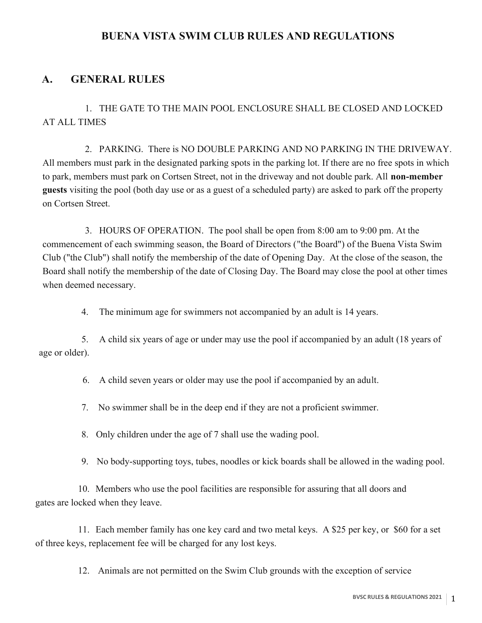#### BUENA VISTA SWIM CLUB RULES AND REGULATIONS

#### A. GENERAL RULES

1. THE GATE TO THE MAIN POOL ENCLOSURE SHALL BE CLOSED AND LOCKED AT ALL TIMES

2. PARKING. There is NO DOUBLE PARKING AND NO PARKING IN THE DRIVEWAY. All members must park in the designated parking spots in the parking lot. If there are no free spots in which to park, members must park on Cortsen Street, not in the driveway and not double park. All non-member guests visiting the pool (both day use or as a guest of a scheduled party) are asked to park off the property on Cortsen Street.

3. HOURS OF OPERATION. The pool shall be open from 8:00 am to 9:00 pm. At the commencement of each swimming season, the Board of Directors ("the Board") of the Buena Vista Swim Club ("the Club") shall notify the membership of the date of Opening Day. At the close of the season, the Board shall notify the membership of the date of Closing Day. The Board may close the pool at other times when deemed necessary.

4. The minimum age for swimmers not accompanied by an adult is 14 years.

5. A child six years of age or under may use the pool if accompanied by an adult (18 years of age or older).

6. A child seven years or older may use the pool if accompanied by an adult.

7. No swimmer shall be in the deep end if they are not a proficient swimmer.

8. Only children under the age of 7 shall use the wading pool.

9. No body-supporting toys, tubes, noodles or kick boards shall be allowed in the wading pool.

10. Members who use the pool facilities are responsible for assuring that all doors and gates are locked when they leave.

11. Each member family has one key card and two metal keys. A \$25 per key, or \$60 for a set of three keys, replacement fee will be charged for any lost keys.

12. Animals are not permitted on the Swim Club grounds with the exception of service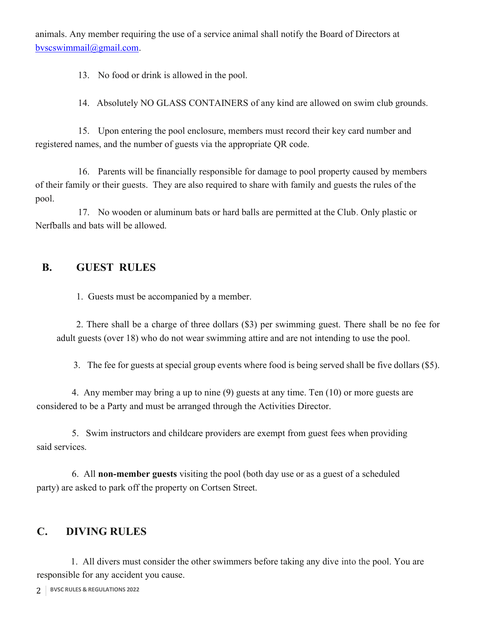animals. Any member requiring the use of a service animal shall notify the Board of Directors at bvscswimmail@gmail.com.

13. No food or drink is allowed in the pool.

14. Absolutely NO GLASS CONTAINERS of any kind are allowed on swim club grounds.

15. Upon entering the pool enclosure, members must record their key card number and registered names, and the number of guests via the appropriate QR code.

16. Parents will be financially responsible for damage to pool property caused by members of their family or their guests. They are also required to share with family and guests the rules of the pool.

17. No wooden or aluminum bats or hard balls are permitted at the Club. Only plastic or Nerfballs and bats will be allowed.

### B. GUEST RULES

1. Guests must be accompanied by a member.

2. There shall be a charge of three dollars (\$3) per swimming guest. There shall be no fee for adult guests (over 18) who do not wear swimming attire and are not intending to use the pool.

3. The fee for guests at special group events where food is being served shall be five dollars (\$5).

4. Any member may bring a up to nine (9) guests at any time. Ten (10) or more guests are considered to be a Party and must be arranged through the Activities Director.

5. Swim instructors and childcare providers are exempt from guest fees when providing said services.

6. All non-member guests visiting the pool (both day use or as a guest of a scheduled party) are asked to park off the property on Cortsen Street.

## C. DIVING RULES

1. All divers must consider the other swimmers before taking any dive into the pool. You are responsible for any accident you cause.

2 BVSC RULES & REGULATIONS 2022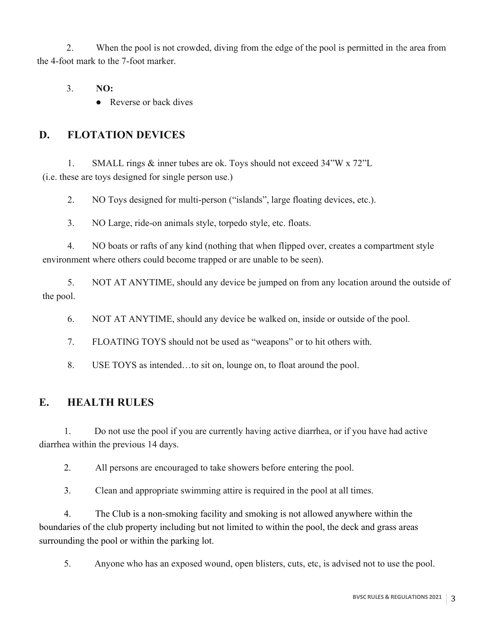2. When the pool is not crowded, diving from the edge of the pool is permitted in the area from the 4-foot mark to the 7-foot marker.

3. NO:

● Reverse or back dives

## D. FLOTATION DEVICES

1. SMALL rings & inner tubes are ok. Toys should not exceed 34"W x 72"L (i.e. these are toys designed for single person use.)

2. NO Toys designed for multi-person ("islands", large floating devices, etc.).

3. NO Large, ride-on animals style, torpedo style, etc. floats.

4. NO boats or rafts of any kind (nothing that when flipped over, creates a compartment style environment where others could become trapped or are unable to be seen).

5. NOT AT ANYTIME, should any device be jumped on from any location around the outside of the pool.

6. NOT AT ANYTIME, should any device be walked on, inside or outside of the pool.

7. FLOATING TOYS should not be used as "weapons" or to hit others with.

8. USE TOYS as intended…to sit on, lounge on, to float around the pool.

# E. HEALTH RULES

1. Do not use the pool if you are currently having active diarrhea, or if you have had active diarrhea within the previous 14 days.

2. All persons are encouraged to take showers before entering the pool.

3. Clean and appropriate swimming attire is required in the pool at all times.

4. The Club is a non-smoking facility and smoking is not allowed anywhere within the boundaries of the club property including but not limited to within the pool, the deck and grass areas surrounding the pool or within the parking lot.

5. Anyone who has an exposed wound, open blisters, cuts, etc, is advised not to use the pool.